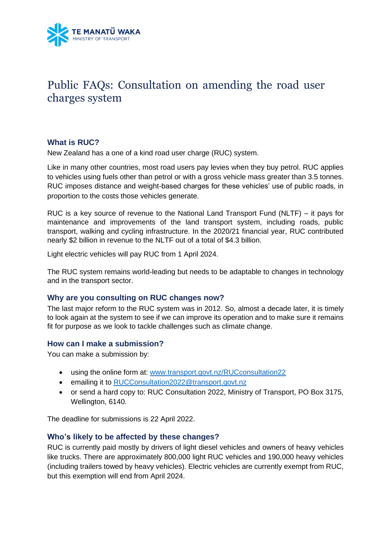

# Public FAQs: Consultation on amending the road user charges system

# **What is RUC?**

New Zealand has a one of a kind road user charge (RUC) system.

Like in many other countries, most road users pay levies when they buy petrol. RUC applies to vehicles using fuels other than petrol or with a gross vehicle mass greater than 3.5 tonnes. RUC imposes distance and weight-based charges for these vehicles' use of public roads, in proportion to the costs those vehicles generate.

RUC is a key source of revenue to the National Land Transport Fund (NLTF) – it pays for maintenance and improvements of the land transport system, including roads, public transport, walking and cycling infrastructure. In the 2020/21 financial year, RUC contributed nearly \$2 billion in revenue to the NLTF out of a total of \$4.3 billion.

Light electric vehicles will pay RUC from 1 April 2024.

The RUC system remains world-leading but needs to be adaptable to changes in technology and in the transport sector.

#### **Why are you consulting on RUC changes now?**

The last major reform to the RUC system was in 2012. So, almost a decade later, it is timely to look again at the system to see if we can improve its operation and to make sure it remains fit for purpose as we look to tackle challenges such as climate change.

#### **How can I make a submission?**

You can make a submission by:

- using the online form at: [www.transport.govt.nz/RUCconsultation22](file:///C:/Users/zayke/AppData/Roaming/OpenText/OTEdit/EC_content_server/c85282920/www.transport.govt.nz/RUCconsultation2)
- emailing it to [RUCConsultation2022@transport.govt.nz](mailto:RUCConsultation2022@transport.govt.nz)
- or send a hard copy to: RUC Consultation 2022, Ministry of Transport, PO Box 3175, Wellington, 6140.

The deadline for submissions is 22 April 2022.

#### **Who's likely to be affected by these changes?**

RUC is currently paid mostly by drivers of light diesel vehicles and owners of heavy vehicles like trucks. There are approximately 800,000 light RUC vehicles and 190,000 heavy vehicles (including trailers towed by heavy vehicles). Electric vehicles are currently exempt from RUC, but this exemption will end from April 2024.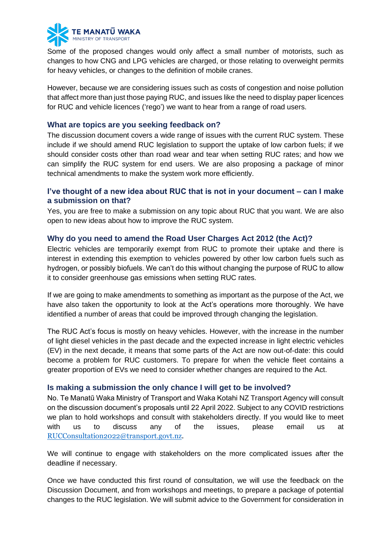

Some of the proposed changes would only affect a small number of motorists, such as changes to how CNG and LPG vehicles are charged, or those relating to overweight permits for heavy vehicles, or changes to the definition of mobile cranes.

However, because we are considering issues such as costs of congestion and noise pollution that affect more than just those paying RUC, and issues like the need to display paper licences for RUC and vehicle licences ('rego') we want to hear from a range of road users.

#### **What are topics are you seeking feedback on?**

The discussion document covers a wide range of issues with the current RUC system. These include if we should amend RUC legislation to support the uptake of low carbon fuels; if we should consider costs other than road wear and tear when setting RUC rates; and how we can simplify the RUC system for end users. We are also proposing a package of minor technical amendments to make the system work more efficiently.

## **I've thought of a new idea about RUC that is not in your document – can I make a submission on that?**

Yes, you are free to make a submission on any topic about RUC that you want. We are also open to new ideas about how to improve the RUC system.

# **Why do you need to amend the Road User Charges Act 2012 (the Act)?**

Electric vehicles are temporarily exempt from RUC to promote their uptake and there is interest in extending this exemption to vehicles powered by other low carbon fuels such as hydrogen, or possibly biofuels. We can't do this without changing the purpose of RUC to allow it to consider greenhouse gas emissions when setting RUC rates.

If we are going to make amendments to something as important as the purpose of the Act, we have also taken the opportunity to look at the Act's operations more thoroughly. We have identified a number of areas that could be improved through changing the legislation.

The RUC Act's focus is mostly on heavy vehicles. However, with the increase in the number of light diesel vehicles in the past decade and the expected increase in light electric vehicles (EV) in the next decade, it means that some parts of the Act are now out-of-date: this could become a problem for RUC customers. To prepare for when the vehicle fleet contains a greater proportion of EVs we need to consider whether changes are required to the Act.

# **Is making a submission the only chance I will get to be involved?**

No. Te Manatū Waka Ministry of Transport and Waka Kotahi NZ Transport Agency will consult on the discussion document's proposals until 22 April 2022. Subject to any COVID restrictions we plan to hold workshops and consult with stakeholders directly. If you would like to meet with us to discuss any of the issues, please email us at [RUCConsultation2022@transport.govt.nz.](mailto:RUCConsultation2022@transport.govt.nz)

We will continue to engage with stakeholders on the more complicated issues after the deadline if necessary.

Once we have conducted this first round of consultation, we will use the feedback on the Discussion Document, and from workshops and meetings, to prepare a package of potential changes to the RUC legislation. We will submit advice to the Government for consideration in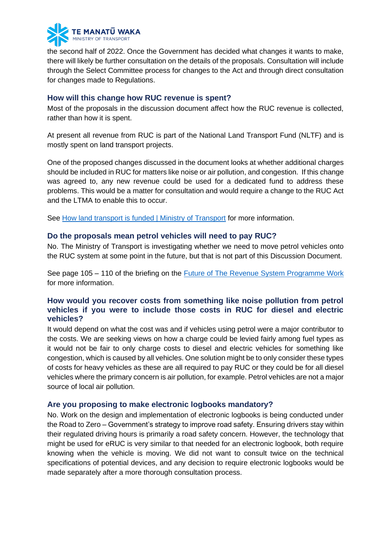

the second half of 2022. Once the Government has decided what changes it wants to make, there will likely be further consultation on the details of the proposals. Consultation will include through the Select Committee process for changes to the Act and through direct consultation for changes made to Regulations.

## **How will this change how RUC revenue is spent?**

Most of the proposals in the discussion document affect how the RUC revenue is collected, rather than how it is spent.

At present all revenue from RUC is part of the National Land Transport Fund (NLTF) and is mostly spent on land transport projects.

One of the proposed changes discussed in the document looks at whether additional charges should be included in RUC for matters like noise or air pollution, and congestion. If this change was agreed to, any new revenue could be used for a dedicated fund to address these problems. This would be a matter for consultation and would require a change to the RUC Act and the LTMA to enable this to occur.

See [How land transport is funded | Ministry of Transport](https://www.transport.govt.nz/about-us/what-we-do/queries/how-land-transport-is-funded/) for more information.

## **Do the proposals mean petrol vehicles will need to pay RUC?**

No. The Ministry of Transport is investigating whether we need to move petrol vehicles onto the RUC system at some point in the future, but that is not part of this Discussion Document.

See page 105 – 110 of the briefing on the [Future of The Revenue System Programme Work](https://www.transport.govt.nz/assets/Uploads/RequestFor37BriefingsPart2.pdf) for more information.

# **How would you recover costs from something like noise pollution from petrol vehicles if you were to include those costs in RUC for diesel and electric vehicles?**

It would depend on what the cost was and if vehicles using petrol were a major contributor to the costs. We are seeking views on how a charge could be levied fairly among fuel types as it would not be fair to only charge costs to diesel and electric vehicles for something like congestion, which is caused by all vehicles. One solution might be to only consider these types of costs for heavy vehicles as these are all required to pay RUC or they could be for all diesel vehicles where the primary concern is air pollution, for example. Petrol vehicles are not a major source of local air pollution.

#### **Are you proposing to make electronic logbooks mandatory?**

No. Work on the design and implementation of electronic logbooks is being conducted under the Road to Zero – Government's strategy to improve road safety. Ensuring drivers stay within their regulated driving hours is primarily a road safety concern. However, the technology that might be used for eRUC is very similar to that needed for an electronic logbook, both require knowing when the vehicle is moving. We did not want to consult twice on the technical specifications of potential devices, and any decision to require electronic logbooks would be made separately after a more thorough consultation process.